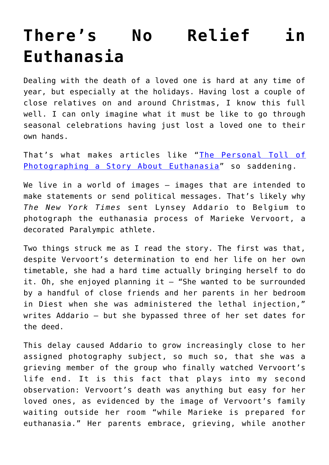## **[There's No Relief in](https://intellectualtakeout.org/2019/12/theres-no-relief-in-euthanasia/) [Euthanasia](https://intellectualtakeout.org/2019/12/theres-no-relief-in-euthanasia/)**

Dealing with the death of a loved one is hard at any time of year, but especially at the holidays. Having lost a couple of close relatives on and around Christmas, I know this full well. I can only imagine what it must be like to go through seasonal celebrations having just lost a loved one to their own hands.

That's what makes articles like "[The Personal Toll of](https://www.nytimes.com/2019/12/06/reader-center/marieke-vervoort-euthanasia.html?action=click&module=Well&pgtype=Homepage§ion=Reader%20Center) [Photographing a Story About Euthanasia](https://www.nytimes.com/2019/12/06/reader-center/marieke-vervoort-euthanasia.html?action=click&module=Well&pgtype=Homepage§ion=Reader%20Center)" so saddening.

We live in a world of images - images that are intended to make statements or send political messages. That's likely why *The New York Times* sent Lynsey Addario to Belgium to photograph the euthanasia process of Marieke Vervoort, a decorated Paralympic athlete.

Two things struck me as I read the story. The first was that, despite Vervoort's determination to end her life on her own timetable, she had a hard time actually bringing herself to do it. Oh, she enjoyed planning it  $-$  "She wanted to be surrounded by a handful of close friends and her parents in her bedroom in Diest when she was administered the lethal injection," writes Addario – but she bypassed three of her set dates for the deed.

This delay caused Addario to grow increasingly close to her assigned photography subject, so much so, that she was a grieving member of the group who finally watched Vervoort's life end. It is this fact that plays into my second observation: Vervoort's death was anything but easy for her loved ones, as evidenced by the image of Vervoort's family waiting outside her room "while Marieke is prepared for euthanasia." Her parents embrace, grieving, while another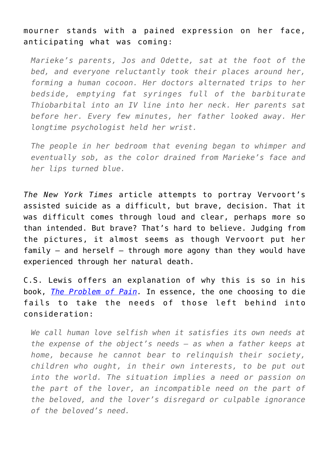## mourner stands with a pained expression on her face, anticipating what was coming:

*Marieke's parents, Jos and Odette, sat at the foot of the bed, and everyone reluctantly took their places around her, forming a human cocoon. Her doctors alternated trips to her bedside, emptying fat syringes full of the barbiturate Thiobarbital into an IV line into her neck. Her parents sat before her. Every few minutes, her father looked away. Her longtime psychologist held her wrist.*

*The people in her bedroom that evening began to whimper and eventually sob, as the color drained from Marieke's face and her lips turned blue.* 

*The New York Times* article attempts to portray Vervoort's assisted suicide as a difficult, but brave, decision. That it was difficult comes through loud and clear, perhaps more so than intended. But brave? That's hard to believe. Judging from the pictures, it almost seems as though Vervoort put her family  $-$  and herself  $-$  through more agony than they would have experienced through her natural death.

C.S. Lewis offers an explanation of why this is so in his book, *[The Problem of Pain](https://www.amazon.com/gp/product/0060652969/ref=as_li_qf_asin_il_tl?ie=UTF8&tag=intelltakeo0d-20&creative=9325&linkCode=as2&creativeASIN=0060652969&linkId=cc2434297eacbaecbeee3ac7f074e6f4).* In essence, the one choosing to die fails to take the needs of those left behind into consideration:

*We call human love selfish when it satisfies its own needs at the expense of the object's needs — as when a father keeps at home, because he cannot bear to relinquish their society, children who ought, in their own interests, to be put out into the world. The situation implies a need or passion on the part of the lover, an incompatible need on the part of the beloved, and the lover's disregard or culpable ignorance of the beloved's need.*